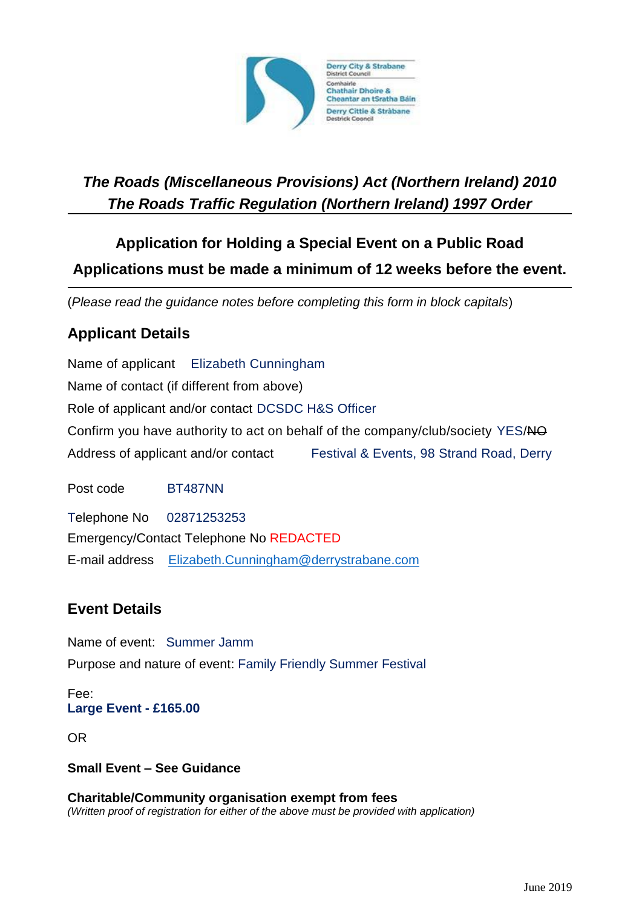

# *The Roads (Miscellaneous Provisions) Act (Northern Ireland) 2010 The Roads Traffic Regulation (Northern Ireland) 1997 Order*

# **Application for Holding a Special Event on a Public Road Applications must be made a minimum of 12 weeks before the event.**

(*Please read the guidance notes before completing this form in block capitals*)

## **Applicant Details**

Name of applicant Elizabeth Cunningham Name of contact (if different from above) Role of applicant and/or contact DCSDC H&S Officer Confirm you have authority to act on behalf of the company/club/society YES/NO Address of applicant and/or contact Festival & Events, 98 Strand Road, Derry

Post code BT487NN

Telephone No 02871253253 Emergency/Contact Telephone No REDACTED E-mail address [Elizabeth.Cunningham@derrystrabane.com](mailto:Elizabeth.Cunningham@derrystrabane.com)

## **Event Details**

Name of event: Summer Jamm Purpose and nature of event: Family Friendly Summer Festival

Fee: **Large Event - £165.00**

OR

**Small Event – See Guidance**

**Charitable/Community organisation exempt from fees** *(Written proof of registration for either of the above must be provided with application)*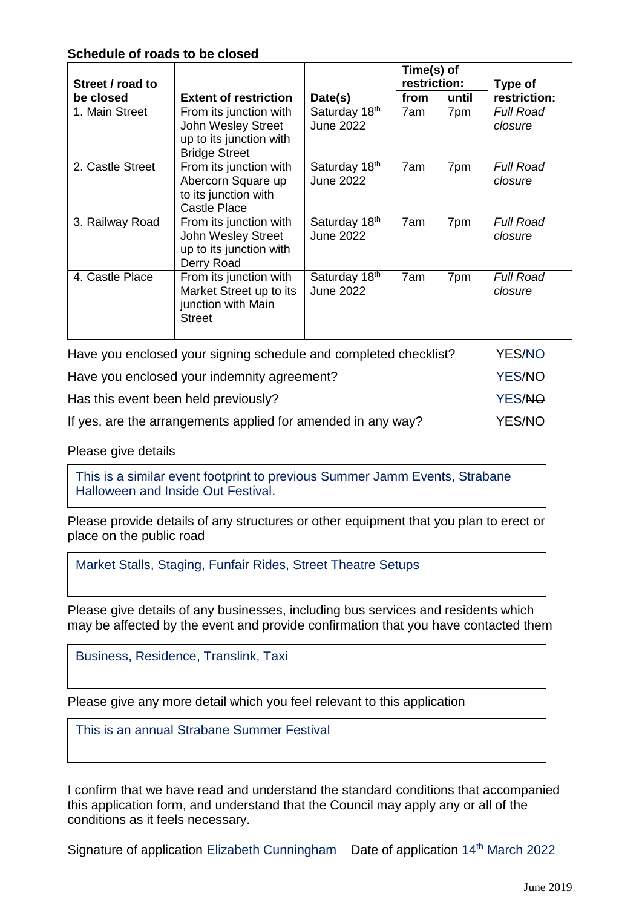### **Schedule of roads to be closed**

| Street / road to                                                                                  |                                                                                                 |                                   | Time(s) of<br>restriction: |       | Type of                     |
|---------------------------------------------------------------------------------------------------|-------------------------------------------------------------------------------------------------|-----------------------------------|----------------------------|-------|-----------------------------|
| be closed                                                                                         | <b>Extent of restriction</b>                                                                    | Date(s)                           | from                       | until | restriction:                |
| 1. Main Street                                                                                    | From its junction with<br>John Wesley Street<br>up to its junction with<br><b>Bridge Street</b> | Saturday 18th<br><b>June 2022</b> | 7am                        | 7pm   | <b>Full Road</b><br>closure |
| 2. Castle Street                                                                                  | From its junction with<br>Abercorn Square up<br>to its junction with<br><b>Castle Place</b>     | Saturday 18th<br><b>June 2022</b> | 7am                        | 7pm   | <b>Full Road</b><br>closure |
| 3. Railway Road                                                                                   | From its junction with<br><b>John Wesley Street</b><br>up to its junction with<br>Derry Road    | Saturday 18th<br><b>June 2022</b> | 7am                        | 7pm   | <b>Full Road</b><br>closure |
| 4. Castle Place                                                                                   | From its junction with<br>Market Street up to its<br>junction with Main<br><b>Street</b>        | Saturday 18th<br><b>June 2022</b> | 7am                        | 7pm   | <b>Full Road</b><br>closure |
| Chailed and hotel contains a hotel dealer and containing and contained to the contact of $\Omega$ |                                                                                                 |                                   |                            |       | VEC AIO                     |

| Have you enclosed your signing schedule and completed checklist? | <b>YES/NO</b> |
|------------------------------------------------------------------|---------------|
| Have you enclosed your indemnity agreement?                      | YES/NO        |
| Has this event been held previously?                             | YES/NO        |
| If yes, are the arrangements applied for amended in any way?     | YES/NO        |

Please give details

This is a similar event footprint to previous Summer Jamm Events, Strabane Halloween and Inside Out Festival.

Please provide details of any structures or other equipment that you plan to erect or place on the public road

Market Stalls, Staging, Funfair Rides, Street Theatre Setups

Please give details of any businesses, including bus services and residents which may be affected by the event and provide confirmation that you have contacted them

Business, Residence, Translink, Taxi

Please give any more detail which you feel relevant to this application

This is an annual Strabane Summer Festival

I confirm that we have read and understand the standard conditions that accompanied this application form, and understand that the Council may apply any or all of the conditions as it feels necessary.

Signature of application Elizabeth Cunningham Date of application 14<sup>th</sup> March 2022